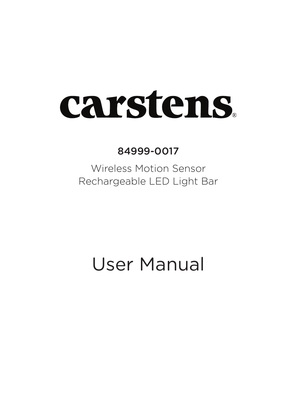# **carstens**

84999-0017

Wireless Motion Sensor Rechargeable LED Light Bar

User Manual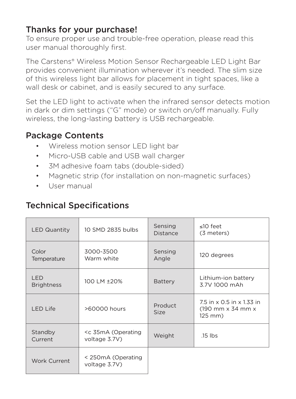## Thanks for your purchase!

To ensure proper use and trouble-free operation, please read this user manual thoroughly first.

The Carstens® Wireless Motion Sensor Rechargeable LED Light Bar provides convenient illumination wherever it's needed. The slim size of this wireless light bar allows for placement in tight spaces, like a wall desk or cabinet, and is easily secured to any surface.

Set the LED light to activate when the infrared sensor detects motion in dark or dim settings ("G" mode) or switch on/off manually. Fully wireless, the long-lasting battery is USB rechargeable.

## Package Contents

- Wireless motion sensor LED light bar
- Micro-USB cable and USB wall charger
- 3M adhesive foam tabs (double-sided)
- Magnetic strip (for installation on non-magnetic surfaces)
- User manual

# Technical Specifications

| <b>LED Quantity</b>             | 10 SMD 2835 bulbs                             | Sensing<br>Distance | $<10$ feet<br>(3 meters)                                  |
|---------------------------------|-----------------------------------------------|---------------------|-----------------------------------------------------------|
| Color<br>Temperature            | 3000-3500<br>Warm white                       | Sensing<br>Angle    | 120 degrees                                               |
| <b>IFD</b><br><b>Brightness</b> | 100   M + 20%                                 | Battery             | Lithium-ion battery<br>3 7V 1000 mAh                      |
| LED Life                        | >60000 hours                                  | Product<br>Size     | 7.5 in x 0.5 in x 1.33 in<br>(190 mm x 34 mm x<br>125 mm) |
| Standby<br>Current              | <c (operating<br="" 35ma="">voltage 3.7V)</c> | Weight              | $15$ lbs                                                  |
| Work Current                    | < 250mA (Operating<br>voltage 3.7V)           |                     |                                                           |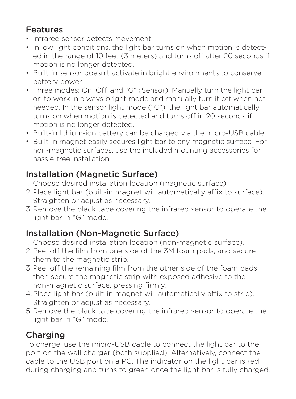# Features

- Infrared sensor detects movement.
- In low light conditions, the light bar turns on when motion is detected in the range of 10 feet (3 meters) and turns off after 20 seconds if motion is no longer detected.
- Built-in sensor doesn't activate in bright environments to conserve battery power.
- Three modes: On, Off, and "G" (Sensor). Manually turn the light bar on to work in always bright mode and manually turn it off when not needed. In the sensor light mode ("G"), the light bar automatically turns on when motion is detected and turns off in 20 seconds if motion is no longer detected.
- Built-in lithium-ion battery can be charged via the micro-USB cable.
- Built-in magnet easily secures light bar to any magnetic surface. For non-magnetic surfaces, use the included mounting accessories for hassle-free installation.

# Installation (Magnetic Surface)

- 1. Choose desired installation location (magnetic surface).
- 2. Place light bar (built-in magnet will automatically affix to surface). Straighten or adjust as necessary.
- 3. Remove the black tape covering the infrared sensor to operate the light bar in "G" mode.

# Installation (Non-Magnetic Surface)

- 1. Choose desired installation location (non-magnetic surface).
- 2. Peel off the film from one side of the 3M foam pads, and secure them to the magnetic strip.
- 3.Peel off the remaining film from the other side of the foam pads, then secure the magnetic strip with exposed adhesive to the non-magnetic surface, pressing firmly.
- 4.Place light bar (built-in magnet will automatically affix to strip). Straighten or adjust as necessary.
- 5. Remove the black tape covering the infrared sensor to operate the light bar in "G" mode.

# **Charging**

To charge, use the micro-USB cable to connect the light bar to the port on the wall charger (both supplied). Alternatively, connect the cable to the USB port on a PC. The indicator on the light bar is red during charging and turns to green once the light bar is fully charged.